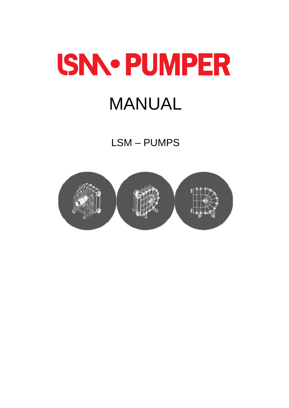# **ISN.. PUMPER MANUAL**

LSM-PUMPS

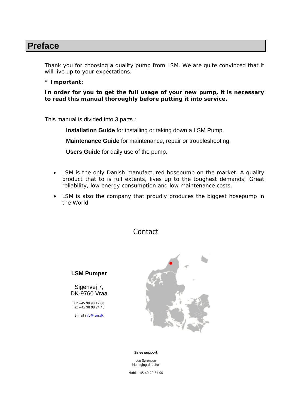### **Preface**

Thank you for choosing a quality pump from LSM. We are quite convinced that it will live up to your expectations.

#### **\* Important:**

**In order for you to get the full usage of your new pump, it is necessary to read this manual thoroughly before putting it into service.** 

This manual is divided into 3 parts :

**Installation Guide** for installing or taking down a LSM Pump.

**Maintenance Guide** for maintenance, repair or troubleshooting.

**Users Guide** for daily use of the pump.

- LSM is the only Danish manufactured hosepump on the market. A quality product that to is full extents, lives up to the toughest demands; Great reliability, low energy consumption and low maintenance costs.
- LSM is also the company that proudly produces the biggest hosepump in the World.

#### Contact

**LSM Pumper** 

Sigenvej 7, DK-9760 Vraa

Tlf +45 98 98 19 00 Fax +45 98 98 24 40

E-mail info@lsm.dk



#### **Sales support**

Leo Sørensen Managing director

Mobil +45 40 20 31 00